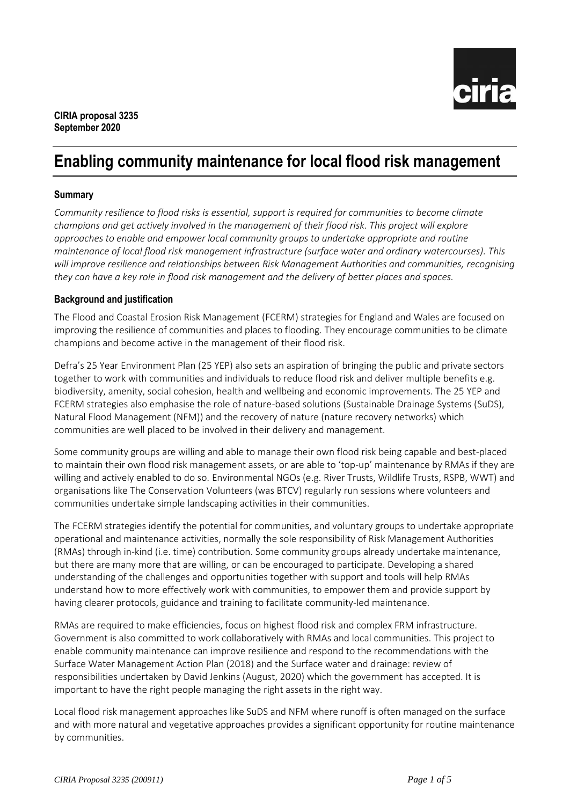

# **Enabling community maintenance for local flood risk management**

### **Summary**

*Community resilience to flood risks is essential, support is required for communities to become climate champions and get actively involved in the management of their flood risk. This project will explore approaches to enable and empower local community groups to undertake appropriate and routine maintenance of local flood risk management infrastructure (surface water and ordinary watercourses). This will improve resilience and relationships between Risk Management Authorities and communities, recognising they can have a key role in flood risk management and the delivery of better places and spaces.*

#### **Background and justification**

The Flood and Coastal Erosion Risk Management (FCERM) strategies for England and Wales are focused on improving the resilience of communities and places to flooding. They encourage communities to be climate champions and become active in the management of their flood risk.

Defra's 25 Year Environment Plan (25 YEP) also sets an aspiration of bringing the public and private sectors together to work with communities and individuals to reduce flood risk and deliver multiple benefits e.g. biodiversity, amenity, social cohesion, health and wellbeing and economic improvements. The 25 YEP and FCERM strategies also emphasise the role of nature-based solutions (Sustainable Drainage Systems (SuDS), Natural Flood Management (NFM)) and the recovery of nature (nature recovery networks) which communities are well placed to be involved in their delivery and management.

Some community groups are willing and able to manage their own flood risk being capable and best-placed to maintain their own flood risk management assets, or are able to 'top-up' maintenance by RMAs if they are willing and actively enabled to do so. Environmental NGOs (e.g. River Trusts, Wildlife Trusts, RSPB, WWT) and organisations like The Conservation Volunteers (was BTCV) regularly run sessions where volunteers and communities undertake simple landscaping activities in their communities.

The FCERM strategies identify the potential for communities, and voluntary groups to undertake appropriate operational and maintenance activities, normally the sole responsibility of Risk Management Authorities (RMAs) through in-kind (i.e. time) contribution. Some community groups already undertake maintenance, but there are many more that are willing, or can be encouraged to participate. Developing a shared understanding of the challenges and opportunities together with support and tools will help RMAs understand how to more effectively work with communities, to empower them and provide support by having clearer protocols, guidance and training to facilitate community-led maintenance.

RMAs are required to make efficiencies, focus on highest flood risk and complex FRM infrastructure. Government is also committed to work collaboratively with RMAs and local communities. This project to enable community maintenance can improve resilience and respond to the recommendations with the Surface Water Management Action Plan (2018) and the Surface water and drainage: review of responsibilities undertaken by David Jenkins (August, 2020) which the government has accepted. It is important to have the right people managing the right assets in the right way.

Local flood risk management approaches like SuDS and NFM where runoff is often managed on the surface and with more natural and vegetative approaches provides a significant opportunity for routine maintenance by communities.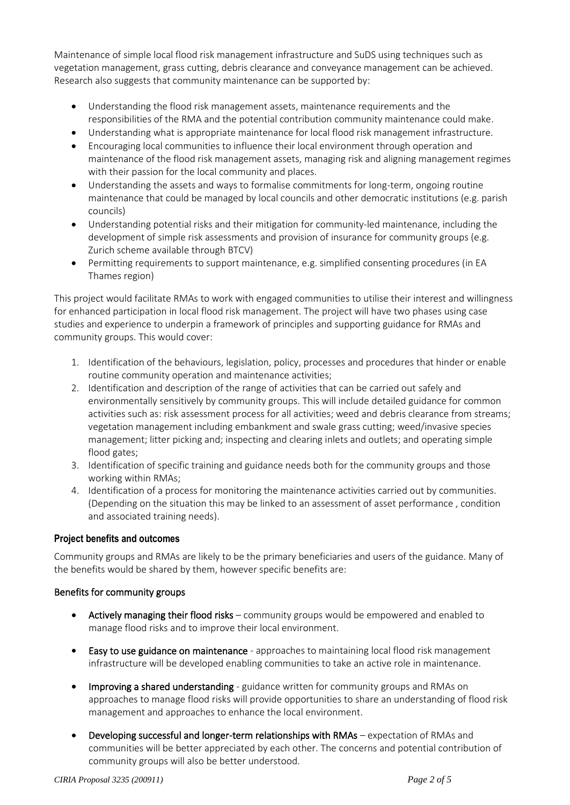Maintenance of simple local flood risk management infrastructure and SuDS using techniques such as vegetation management, grass cutting, debris clearance and conveyance management can be achieved. Research also suggests that community maintenance can be supported by:

- Understanding the flood risk management assets, maintenance requirements and the responsibilities of the RMA and the potential contribution community maintenance could make.
- Understanding what is appropriate maintenance for local flood risk management infrastructure.
- Encouraging local communities to influence their local environment through operation and maintenance of the flood risk management assets, managing risk and aligning management regimes with their passion for the local community and places.
- Understanding the assets and ways to formalise commitments for long-term, ongoing routine maintenance that could be managed by local councils and other democratic institutions (e.g. parish councils)
- Understanding potential risks and their mitigation for community-led maintenance, including the development of simple risk assessments and provision of insurance for community groups (e.g. Zurich scheme available through BTCV)
- Permitting requirements to support maintenance, e.g. simplified consenting procedures (in EA Thames region)

This project would facilitate RMAs to work with engaged communities to utilise their interest and willingness for enhanced participation in local flood risk management. The project will have two phases using case studies and experience to underpin a framework of principles and supporting guidance for RMAs and community groups. This would cover:

- 1. Identification of the behaviours, legislation, policy, processes and procedures that hinder or enable routine community operation and maintenance activities;
- 2. Identification and description of the range of activities that can be carried out safely and environmentally sensitively by community groups. This will include detailed guidance for common activities such as: risk assessment process for all activities; weed and debris clearance from streams; vegetation management including embankment and swale grass cutting; weed/invasive species management; litter picking and; inspecting and clearing inlets and outlets; and operating simple flood gates;
- 3. Identification of specific training and guidance needs both for the community groups and those working within RMAs;
- 4. Identification of a process for monitoring the maintenance activities carried out by communities. (Depending on the situation this may be linked to an assessment of asset performance , condition and associated training needs).

## **Project benefits and outcomes**

Community groups and RMAs are likely to be the primary beneficiaries and users of the guidance. Many of the benefits would be shared by them, however specific benefits are:

## Benefits for community groups

- Actively managing their flood risks community groups would be empowered and enabled to manage flood risks and to improve their local environment.
- Easy to use guidance on maintenance approaches to maintaining local flood risk management infrastructure will be developed enabling communities to take an active role in maintenance.
- Improving a shared understanding guidance written for community groups and RMAs on approaches to manage flood risks will provide opportunities to share an understanding of flood risk management and approaches to enhance the local environment.
- Developing successful and longer-term relationships with RMAs expectation of RMAs and communities will be better appreciated by each other. The concerns and potential contribution of community groups will also be better understood.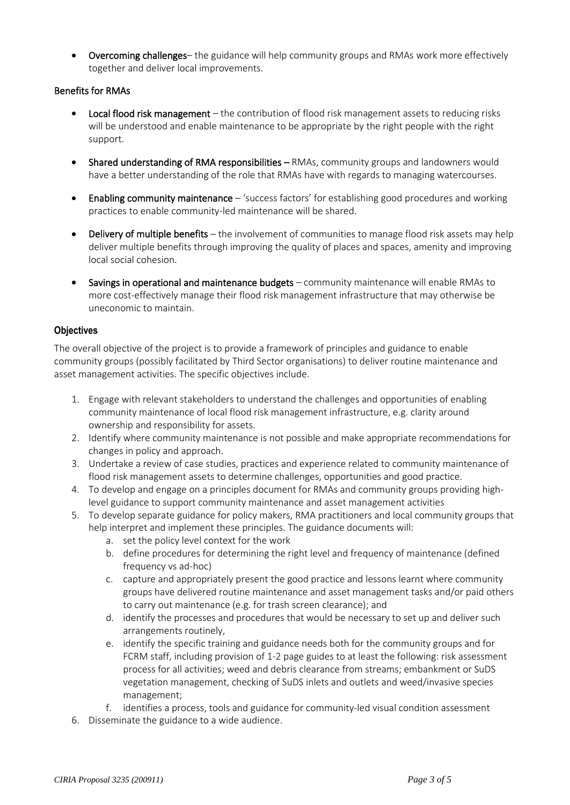• Overcoming challenges– the guidance will help community groups and RMAs work more effectively together and deliver local improvements.

### Benefits for RMAs

- Local flood risk management the contribution of flood risk management assets to reducing risks will be understood and enable maintenance to be appropriate by the right people with the right support.
- Shared understanding of RMA responsibilities RMAs, community groups and landowners would have a better understanding of the role that RMAs have with regards to managing watercourses.
- Enabling community maintenance 'success factors' for establishing good procedures and working practices to enable community-led maintenance will be shared.
- Delivery of multiple benefits the involvement of communities to manage flood risk assets may help deliver multiple benefits through improving the quality of places and spaces, amenity and improving local social cohesion.
- Savings in operational and maintenance budgets community maintenance will enable RMAs to more cost-effectively manage their flood risk management infrastructure that may otherwise be uneconomic to maintain.

#### **Objectives**

The overall objective of the project is to provide a framework of principles and guidance to enable community groups (possibly facilitated by Third Sector organisations) to deliver routine maintenance and asset management activities. The specific objectives include.

- 1. Engage with relevant stakeholders to understand the challenges and opportunities of enabling community maintenance of local flood risk management infrastructure, e.g. clarity around ownership and responsibility for assets.
- 2. Identify where community maintenance is not possible and make appropriate recommendations for changes in policy and approach.
- 3. Undertake a review of case studies, practices and experience related to community maintenance of flood risk management assets to determine challenges, opportunities and good practice.
- 4. To develop and engage on a principles document for RMAs and community groups providing highlevel guidance to support community maintenance and asset management activities
- 5. To develop separate guidance for policy makers, RMA practitioners and local community groups that help interpret and implement these principles. The guidance documents will:
	- a. set the policy level context for the work
	- b. define procedures for determining the right level and frequency of maintenance (defined frequency vs ad-hoc)
	- c. capture and appropriately present the good practice and lessons learnt where community groups have delivered routine maintenance and asset management tasks and/or paid others to carry out maintenance (e.g. for trash screen clearance); and
	- d. identify the processes and procedures that would be necessary to set up and deliver such arrangements routinely,
	- e. identify the specific training and guidance needs both for the community groups and for FCRM staff, including provision of 1-2 page guides to at least the following: risk assessment process for all activities; weed and debris clearance from streams; embankment or SuDS vegetation management, checking of SuDS inlets and outlets and weed/invasive species management;
	- f. identifies a process, tools and guidance for community-led visual condition assessment
- 6. Disseminate the guidance to a wide audience.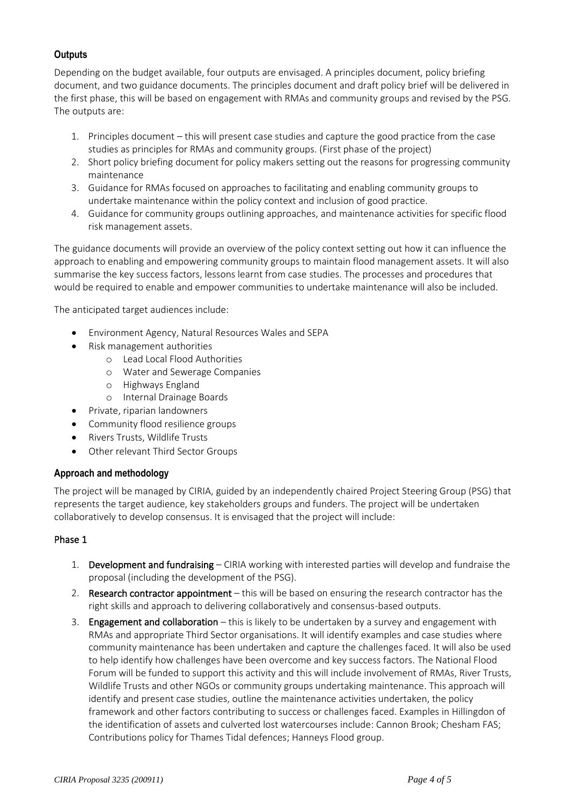# **Outputs**

Depending on the budget available, four outputs are envisaged. A principles document, policy briefing document, and two guidance documents. The principles document and draft policy brief will be delivered in the first phase, this will be based on engagement with RMAs and community groups and revised by the PSG. The outputs are:

- 1. Principles document this will present case studies and capture the good practice from the case studies as principles for RMAs and community groups. (First phase of the project)
- 2. Short policy briefing document for policy makers setting out the reasons for progressing community maintenance
- 3. Guidance for RMAs focused on approaches to facilitating and enabling community groups to undertake maintenance within the policy context and inclusion of good practice.
- 4. Guidance for community groups outlining approaches, and maintenance activities for specific flood risk management assets.

The guidance documents will provide an overview of the policy context setting out how it can influence the approach to enabling and empowering community groups to maintain flood management assets. It will also summarise the key success factors, lessons learnt from case studies. The processes and procedures that would be required to enable and empower communities to undertake maintenance will also be included.

The anticipated target audiences include:

- Environment Agency, Natural Resources Wales and SEPA
- Risk management authorities
	- o Lead Local Flood Authorities
	- o Water and Sewerage Companies
	- o Highways England
	- o Internal Drainage Boards
- Private, riparian landowners
- Community flood resilience groups
- Rivers Trusts, Wildlife Trusts
- Other relevant Third Sector Groups

## **Approach and methodology**

The project will be managed by CIRIA, guided by an independently chaired Project Steering Group (PSG) that represents the target audience, key stakeholders groups and funders. The project will be undertaken collaboratively to develop consensus. It is envisaged that the project will include:

## Phase 1

- 1. Development and fundraising CIRIA working with interested parties will develop and fundraise the proposal (including the development of the PSG).
- 2. Research contractor appointment this will be based on ensuring the research contractor has the right skills and approach to delivering collaboratively and consensus-based outputs.
- 3. Engagement and collaboration  $-$  this is likely to be undertaken by a survey and engagement with RMAs and appropriate Third Sector organisations. It will identify examples and case studies where community maintenance has been undertaken and capture the challenges faced. It will also be used to help identify how challenges have been overcome and key success factors. The National Flood Forum will be funded to support this activity and this will include involvement of RMAs, River Trusts, Wildlife Trusts and other NGOs or community groups undertaking maintenance. This approach will identify and present case studies, outline the maintenance activities undertaken, the policy framework and other factors contributing to success or challenges faced. Examples in Hillingdon of the identification of assets and culverted lost watercourses include: Cannon Brook; Chesham FAS; Contributions policy for Thames Tidal defences; Hanneys Flood group.